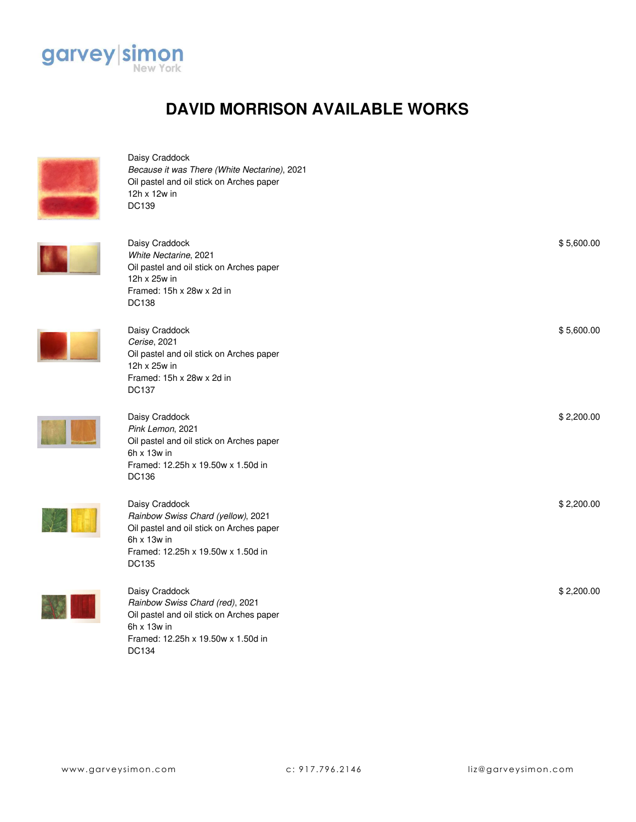

## **DAVID MORRISON AVAILABLE WORKS**



Daisy Craddock *Because it was There (White Nectarine)*, 2021 Oil pastel and oil stick on Arches paper 12h x 12w in DC139



Daisy Craddock *White Nectarine*, 2021 Oil pastel and oil stick on Arches paper 12h x 25w in Framed: 15h x 28w x 2d in DC138

Framed: 12.25h x 19.50w x 1.50d in



| Oil pastel and oil stick on Arches paper<br>12h x 25w in<br>Framed: 15h x 28w x 2d in<br><b>DC138</b>                                                                 |            |
|-----------------------------------------------------------------------------------------------------------------------------------------------------------------------|------------|
| Daisy Craddock<br>Cerise, 2021<br>Oil pastel and oil stick on Arches paper<br>12h x 25w in<br>Framed: 15h x 28w x 2d in<br><b>DC137</b>                               | \$5,600.00 |
| Daisy Craddock<br>Pink Lemon, 2021<br>Oil pastel and oil stick on Arches paper<br>$6h \times 13w$ in<br>Framed: 12.25h x 19.50w x 1.50d in<br>DC136                   | \$2,200.00 |
| Daisy Craddock<br>Rainbow Swiss Chard (yellow), 2021<br>Oil pastel and oil stick on Arches paper<br>$6h \times 13w$ in<br>Framed: 12.25h x 19.50w x 1.50d in<br>DC135 | \$2,200.00 |
| Daisy Craddock<br>Rainbow Swiss Chard (red), 2021<br>Oil pastel and oil stick on Arches paper<br>$6h \times 13w$ in                                                   | \$2,200.00 |

DC134

\$ 5,600.00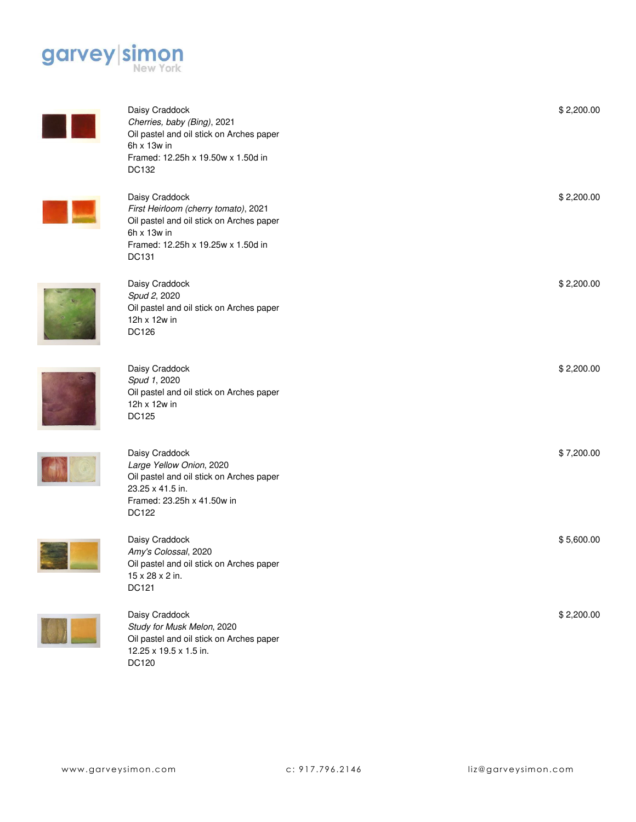

| Daisy Craddock<br>Cherries, baby (Bing), 2021<br>Oil pastel and oil stick on Arches paper<br>$6h \times 13w$ in<br>Framed: 12.25h x 19.50w x 1.50d in<br>DC132   | \$2,200.00 |
|------------------------------------------------------------------------------------------------------------------------------------------------------------------|------------|
| Daisy Craddock<br>First Heirloom (cherry tomato), 2021<br>Oil pastel and oil stick on Arches paper<br>6h x 13w in<br>Framed: 12.25h x 19.25w x 1.50d in<br>DC131 | \$2,200.00 |
| Daisy Craddock<br>Spud 2, 2020<br>Oil pastel and oil stick on Arches paper<br>12h x 12w in<br>DC126                                                              | \$2,200.00 |
| Daisy Craddock<br>Spud 1, 2020<br>Oil pastel and oil stick on Arches paper<br>12h x 12w in<br><b>DC125</b>                                                       | \$2,200.00 |
| Daisy Craddock<br>Large Yellow Onion, 2020<br>Oil pastel and oil stick on Arches paper<br>23.25 x 41.5 in.<br>Framed: 23.25h x 41.50w in<br><b>DC122</b>         | \$7,200.00 |
| Daisy Craddock<br>Amy's Colossal, 2020<br>Oil pastel and oil stick on Arches paper<br>15 x 28 x 2 in.<br>DC121                                                   | \$5,600.00 |
| Daisy Craddock<br>Study for Musk Melon, 2020                                                                                                                     | \$2,200.00 |



DC120

12.25 x 19.5 x 1.5 in.

Oil pastel and oil stick on Arches paper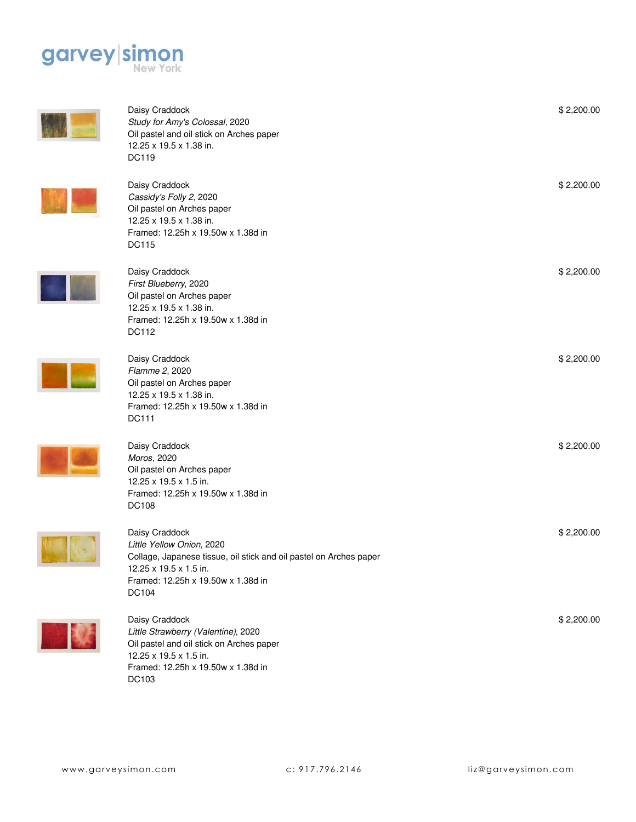

| Daisy Craddock<br>Study for Amy's Colossal, 2020<br>Oil pastel and oil stick on Arches paper<br>12.25 x 19.5 x 1.38 in.<br><b>DC119</b>                                                    | \$2,200.00 |
|--------------------------------------------------------------------------------------------------------------------------------------------------------------------------------------------|------------|
| Daisy Craddock<br>Cassidy's Folly 2, 2020<br>Oil pastel on Arches paper<br>12.25 x 19.5 x 1.38 in.<br>Framed: 12.25h x 19.50w x 1.38d in<br><b>DC115</b>                                   | \$2,200.00 |
| Daisy Craddock<br>First Blueberry, 2020<br>Oil pastel on Arches paper<br>12.25 x 19.5 x 1.38 in.<br>Framed: 12.25h x 19.50w x 1.38d in<br>DC112                                            | \$2,200.00 |
| Daisy Craddock<br>Flamme 2, 2020<br>Oil pastel on Arches paper<br>12.25 x 19.5 x 1.38 in.<br>Framed: 12.25h x 19.50w x 1.38d in<br>DC111                                                   | \$2,200.00 |
| Daisy Craddock<br>Moros, 2020<br>Oil pastel on Arches paper<br>12.25 x 19.5 x 1.5 in.<br>Framed: 12.25h x 19.50w x 1.38d in<br><b>DC108</b>                                                | \$2,200.00 |
| Daisy Craddock<br>Little Yellow Onion, 2020<br>Collage, Japanese tissue, oil stick and oil pastel on Arches paper<br>12.25 x 19.5 x 1.5 in.<br>Framed: 12.25h x 19.50w x 1.38d in<br>DC104 | \$2,200.00 |
| Daisy Craddock<br>Little Strawberry (Valentine), 2020<br>Oil pastel and oil stick on Arches paper<br>12.25 x 19.5 x 1.5 in.<br>Framed: 12.25h x 19.50w x 1.38d in                          | \$2,200.00 |

DC103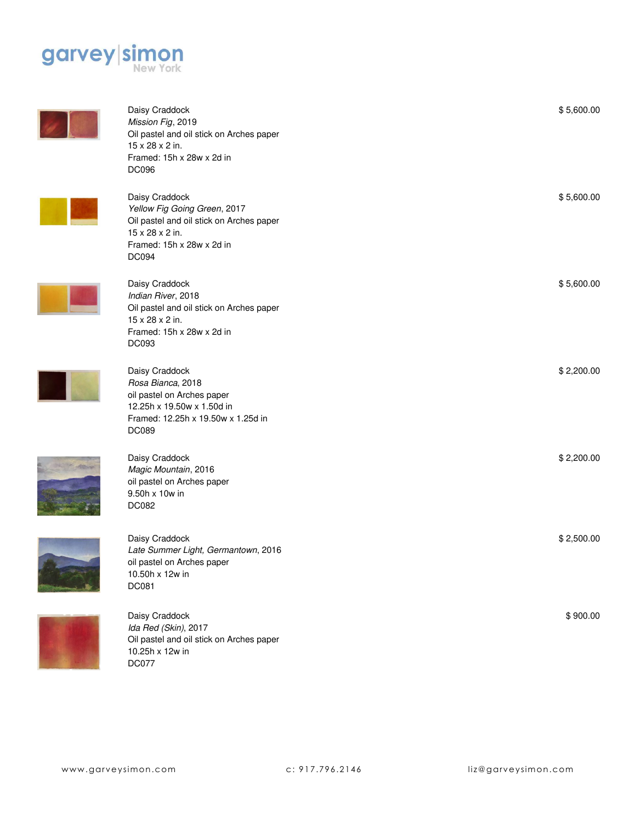



| Daisy Craddock<br>Mission Fig, 2019<br>Oil pastel and oil stick on Arches paper<br>15 x 28 x 2 in.<br>Framed: 15h x 28w x 2d in<br><b>DC096</b>            | \$5,600.00 |
|------------------------------------------------------------------------------------------------------------------------------------------------------------|------------|
| Daisy Craddock<br>Yellow Fig Going Green, 2017<br>Oil pastel and oil stick on Arches paper<br>15 x 28 x 2 in.<br>Framed: 15h x 28w x 2d in<br><b>DC094</b> | \$5,600.00 |
| Daisy Craddock<br>Indian River, 2018<br>Oil pastel and oil stick on Arches paper<br>15 x 28 x 2 in.<br>Framed: 15h x 28w x 2d in<br>DC093                  | \$5,600.00 |
| Daisy Craddock<br>Rosa Bianca, 2018<br>oil pastel on Arches paper<br>12.25h x 19.50w x 1.50d in<br>Framed: 12.25h x 19.50w x 1.25d in<br><b>DC089</b>      | \$2,200.00 |
| Daisy Craddock<br>Magic Mountain, 2016<br>oil pastel on Arches paper<br>9.50h x 10w in<br><b>DC082</b>                                                     | \$2,200.00 |
| Daisy Craddock<br>Late Summer Light, Germantown, 2016<br>oil pastel on Arches paper<br>10.50h x 12w in<br><b>DC081</b>                                     | \$2,500.00 |
| Daisy Craddock                                                                                                                                             | \$900.00   |



Daisy Craddock *Ida Red (Skin)*, 2017 Oil pastel and oil stick on Arches paper 10.25h x 12w in DC077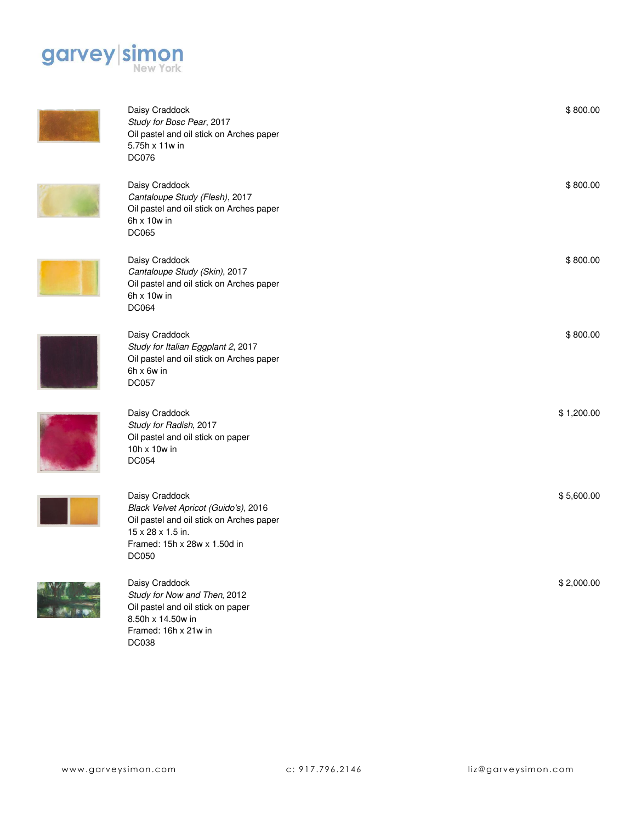



8.50h x 14.50w in Framed: 16h x 21w in

DC038